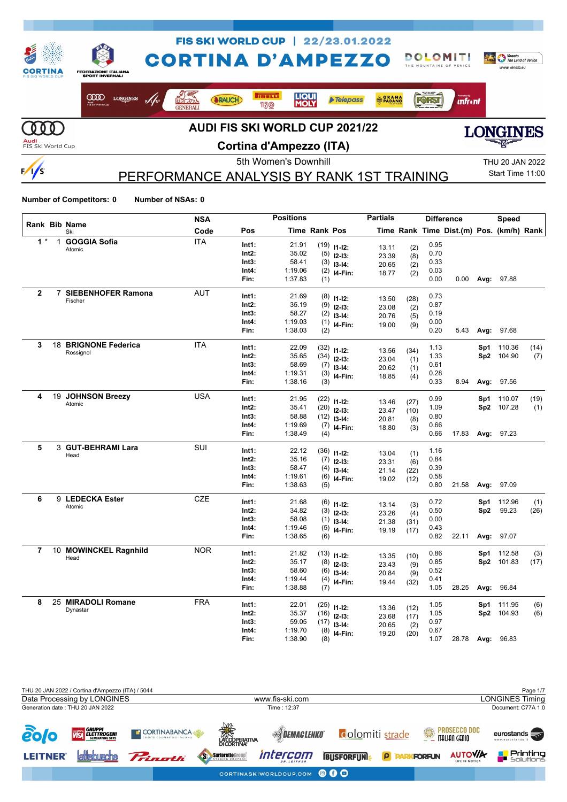

5th Women's Downhill THU 20 JAN 2022 PERFORMANCE ANALYSIS BY RANK 1ST TRAINING

Start Time 11:00

**Number of Competitors: 0 Number of NSAs: 0**

 $\frac{1}{s}$ 

|                |                           | <b>NSA</b> |          | <b>Positions</b> |                      |                      | <b>Partials</b> |              |      | <b>Difference</b>                        |      | Speed             |      |
|----------------|---------------------------|------------|----------|------------------|----------------------|----------------------|-----------------|--------------|------|------------------------------------------|------|-------------------|------|
|                | Rank Bib Name<br>Ski      | Code       | Pos      |                  | <b>Time Rank Pos</b> |                      |                 |              |      | Time Rank Time Dist.(m) Pos. (km/h) Rank |      |                   |      |
| $1*$           | 1 GOGGIA Sofia            | <b>ITA</b> | Int1:    | 21.91            |                      | $(19)$ 11-12:        | 13.11           | (2)          | 0.95 |                                          |      |                   |      |
|                | Atomic                    |            | Int2:    | 35.02            |                      | $(5)$ 12-13:         | 23.39           | (8)          | 0.70 |                                          |      |                   |      |
|                |                           |            | Int3:    | 58.41            | (3)                  | $13-14:$             | 20.65           | (2)          | 0.33 |                                          |      |                   |      |
|                |                           |            | Int4:    | 1:19.06          | (2)                  | I4-Fin:              | 18.77           | (2)          | 0.03 |                                          |      |                   |      |
|                |                           |            | Fin:     | 1:37.83          | (1)                  |                      |                 |              | 0.00 | 0.00                                     |      | Avg: 97.88        |      |
| $\mathbf{2}$   | 7 SIEBENHOFER Ramona      | AUT        | Int1:    | 21.69            | (8)                  | $11 - 12$ :          |                 |              | 0.73 |                                          |      |                   |      |
|                | Fischer                   |            | $Int2$ : | 35.19            | (9)                  | $12-13:$             | 13.50           | (28)         | 0.87 |                                          |      |                   |      |
|                |                           |            | Int3:    | 58.27            | (2)                  | $13-14:$             | 23.08<br>20.76  | (2)          | 0.19 |                                          |      |                   |      |
|                |                           |            | Int4:    | 1:19.03          | (1)                  | I4-Fin:              | 19.00           | (5)<br>(9)   | 0.00 |                                          |      |                   |      |
|                |                           |            | Fin:     | 1:38.03          | (2)                  |                      |                 |              | 0.20 | 5.43                                     | Avg: | 97.68             |      |
| 3              | 18 BRIGNONE Federica      | <b>ITA</b> | Int1:    | 22.09            | (32)                 |                      |                 |              | 1.13 |                                          |      | Sp1 110.36        | (14) |
|                | Rossignol                 |            | Int2:    | 35.65            | (34)                 | $11 - 12$ :          | 13.56           | (34)         | 1.33 |                                          |      | Sp2 104.90        | (7)  |
|                |                           |            | Int3:    | 58.69            | (7)                  | $12-13:$<br>$13-14:$ | 23.04           | (1)          | 0.61 |                                          |      |                   |      |
|                |                           |            | Int4:    | 1:19.31          | (3)                  | I4-Fin:              | 20.62           | (1)          | 0.28 |                                          |      |                   |      |
|                |                           |            | Fin:     | 1:38.16          | (3)                  |                      | 18.85           | (4)          | 0.33 | 8.94                                     | Avg: | 97.56             |      |
| 4              | 19 JOHNSON Breezy         | <b>USA</b> | Int1:    | 21.95            | (22)                 |                      |                 |              | 0.99 |                                          | Sp1  | 110.07            | (19) |
|                | Atomic                    |            | Int2:    | 35.41            | (20)                 | $11 - 12:$           | 13.46           | (27)         | 1.09 |                                          |      | Sp2 107.28        | (1)  |
|                |                           |            | Int3:    | 58.88            | (12)                 | $12-13:$             | 23.47           | (10)         | 0.80 |                                          |      |                   |      |
|                |                           |            | Int4:    | 1:19.69          | (7)                  | $13-14:$             | 20.81           | (8)          | 0.66 |                                          |      |                   |      |
|                |                           |            | Fin:     | 1:38.49          | (4)                  | I4-Fin:              | 18.80           | (3)          | 0.66 | 17.83                                    |      | <b>Avg: 97.23</b> |      |
| 5              | 3 GUT-BEHRAMI Lara        | <b>SUI</b> | Int1:    | 22.12            |                      |                      |                 |              | 1.16 |                                          |      |                   |      |
|                | Head                      |            | $Int2$ : | 35.16            | (36)                 | $11 - 12$ :          | 13.04           | (1)          | 0.84 |                                          |      |                   |      |
|                |                           |            | Int3:    | 58.47            | (7)                  | $12 - 13:$           | 23.31           | (6)          | 0.39 |                                          |      |                   |      |
|                |                           |            | Int4:    | 1:19.61          | (4)<br>(6)           | $13-14:$             | 21.14           | (22)         | 0.58 |                                          |      |                   |      |
|                |                           |            | Fin:     | 1:38.63          | (5)                  | I4-Fin:              | 19.02           | (12)         | 0.80 | 21.58                                    | Avg: | 97.09             |      |
|                |                           |            |          |                  |                      |                      |                 |              |      |                                          |      |                   |      |
| 6              | 9 LEDECKA Ester<br>Atomic | CZE        | Int1:    | 21.68            | (6)                  | $11 - 12$ :          | 13.14           | (3)          | 0.72 |                                          | Sp1  | 112.96            | (1)  |
|                |                           |            | Int2:    | 34.82            | (3)                  | $12 - 13:$           | 23.26           | (4)          | 0.50 |                                          | Sp2  | 99.23             | (26) |
|                |                           |            | Int3:    | 58.08            | (1)                  | $13-14:$             | 21.38           | (31)         | 0.00 |                                          |      |                   |      |
|                |                           |            | Int4:    | 1:19.46          | (5)                  | I4-Fin:              | 19.19           | (17)         | 0.43 |                                          |      |                   |      |
|                |                           |            | Fin:     | 1:38.65          | (6)                  |                      |                 |              | 0.82 | 22.11                                    |      | Avg: 97.07        |      |
| $\overline{7}$ | 10 MOWINCKEL Ragnhild     | <b>NOR</b> | Int1:    | 21.82            |                      | $(13)$ 11-12:        | 13.35           | (10)         | 0.86 |                                          | Sp1  | 112.58            | (3)  |
|                | Head                      |            | Int2:    | 35.17            | (8)                  | $12-13:$             | 23.43           | (9)          | 0.85 |                                          |      | Sp2 101.83        | (17) |
|                |                           |            | Int3:    | 58.60            | (6)                  | $13-14:$             | 20.84           | (9)          | 0.52 |                                          |      |                   |      |
|                |                           |            | Int4:    | 1:19.44          | (4)                  | I4-Fin:              | 19.44           | (32)         | 0.41 |                                          |      |                   |      |
|                |                           |            | Fin:     | 1:38.88          | (7)                  |                      |                 |              | 1.05 | 28.25                                    | Avg: | 96.84             |      |
| 8              | 25 MIRADOLI Romane        | <b>FRA</b> | Int1:    | 22.01            |                      | $(25)$ 11-12:        | 13.36           |              | 1.05 |                                          | Sp1  | 111.95            | (6)  |
|                | Dynastar                  |            | $Int2$ : | 35.37            |                      | $(16)$ 12-13:        | 23.68           | (12)<br>(17) | 1.05 |                                          |      | Sp2 104.93        | (6)  |
|                |                           |            | Int3:    | 59.05            | (17)                 | $13-14:$             | 20.65           | (2)          | 0.97 |                                          |      |                   |      |
|                |                           |            | Int4:    | 1:19.70          | (8)                  | I4-Fin:              | 19.20           | (20)         | 0.67 |                                          |      |                   |      |
|                |                           |            | Fin:     | 1:38.90          | (8)                  |                      |                 |              | 1.07 | 28.78                                    | Avg: | 96.83             |      |

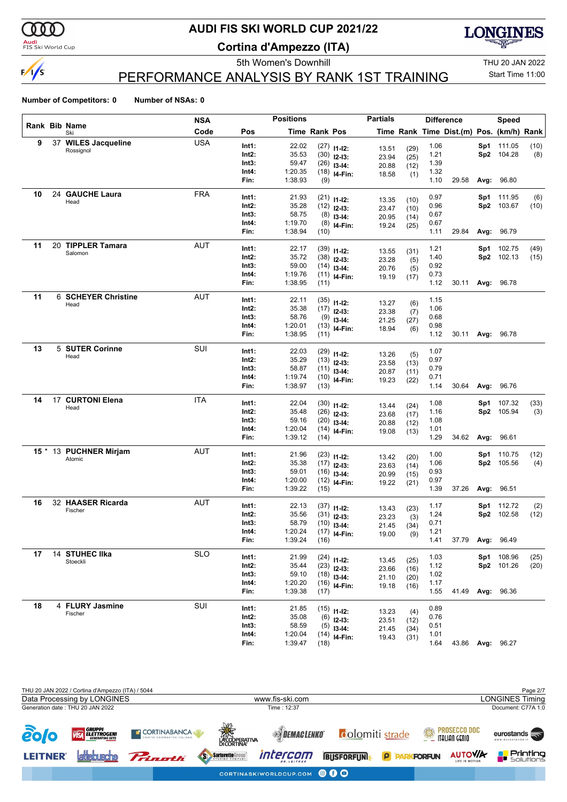

<mark>Audi</mark><br>FIS Ski World Cup

### **AUDI FIS SKI WORLD CUP 2021/22**

**Cortina d'Ampezzo (ITA)**



PERFORMANCE ANALYSIS BY RANK 1ST TRAINING

5th Women's Downhill **THU 20 JAN 2022** Start Time 11:00

|    |    |                        | NSA        |                | <b>Positions</b>   |                      |                               | <b>Partials</b> |      |              | <b>Difference</b>                        |     | <b>Speed</b>      |      |
|----|----|------------------------|------------|----------------|--------------------|----------------------|-------------------------------|-----------------|------|--------------|------------------------------------------|-----|-------------------|------|
|    |    | Rank Bib Name<br>Ski   | Code       | Pos            |                    | <b>Time Rank Pos</b> |                               |                 |      |              | Time Rank Time Dist.(m) Pos. (km/h) Rank |     |                   |      |
| 9  |    | 37 WILES Jacqueline    | <b>USA</b> | Int1:          | 22.02              |                      | $(27)$ 11-12:                 | 13.51           | (29) | 1.06         |                                          | Sp1 | 111.05            | (10) |
|    |    | Rossignol              |            | Int2:          | 35.53              |                      | $(30)$ 12-13:                 | 23.94           | (25) | 1.21         |                                          |     | Sp2 104.28        | (8)  |
|    |    |                        |            | Int3:          | 59.47              |                      | $(26)$ 13-14:                 | 20.88           | (12) | 1.39         |                                          |     |                   |      |
|    |    |                        |            | Int4:          | 1:20.35            |                      | $(18)$ 14-Fin:                | 18.58           | (1)  | 1.32         |                                          |     |                   |      |
|    |    |                        |            | Fin:           | 1:38.93            | (9)                  |                               |                 |      | 1.10         | 29.58                                    |     | <b>Avg: 96.80</b> |      |
| 10 |    | 24 GAUCHE Laura        | <b>FRA</b> | Int1:          | 21.93              |                      | $(21)$ 11-12:                 | 13.35           | (10) | 0.97         |                                          | Sp1 | 111.95            | (6)  |
|    |    | Head                   |            | Int2:          | 35.28              |                      | $(12)$ 12-13:                 | 23.47           | (10) | 0.96         |                                          | Sp2 | 103.67            | (10) |
|    |    |                        |            | Int3:          | 58.75              |                      | $(8)$ 13-14:                  | 20.95           | (14) | 0.67         |                                          |     |                   |      |
|    |    |                        |            | Int4:          | 1:19.70            |                      | $(8)$ 14-Fin:                 | 19.24           | (25) | 0.67         |                                          |     |                   |      |
|    |    |                        |            | Fin:           | 1:38.94            | (10)                 |                               |                 |      | 1.11         | 29.84                                    |     | Avg: 96.79        |      |
| 11 |    | 20 TIPPLER Tamara      | <b>AUT</b> | Int1:          | 22.17              |                      | $(39)$ 11-12:                 |                 |      | 1.21         |                                          | Sp1 | 102.75            | (49) |
|    |    | Salomon                |            | Int2:          | 35.72              |                      | $(38)$ 12-13:                 | 13.55           | (31) | 1.40         |                                          | Sp2 | 102.13            | (15) |
|    |    |                        |            | Int3:          | 59.00              |                      | $(14)$ 13-14:                 | 23.28           | (5)  | 0.92         |                                          |     |                   |      |
|    |    |                        |            | Int4:          | 1:19.76            |                      | $(11)$ 14-Fin:                | 20.76           | (5)  | 0.73         |                                          |     |                   |      |
|    |    |                        |            | Fin:           | 1:38.95            | (11)                 |                               | 19.19           | (17) | 1.12         | 30.11                                    |     | Avg: 96.78        |      |
| 11 |    | 6 SCHEYER Christine    | <b>AUT</b> | Int1:          | 22.11              |                      |                               |                 |      | 1.15         |                                          |     |                   |      |
|    |    | Head                   |            | Int2:          | 35.38              |                      | $(35)$ 11-12:                 | 13.27           | (6)  | 1.06         |                                          |     |                   |      |
|    |    |                        |            | Int3:          | 58.76              |                      | $(17)$ 12-13:<br>$(9)$ 13-14: | 23.38           | (7)  | 0.68         |                                          |     |                   |      |
|    |    |                        |            | Int4:          | 1:20.01            |                      | $(13)$ 14-Fin:                | 21.25           | (27) | 0.98         |                                          |     |                   |      |
|    |    |                        |            | Fin:           | 1:38.95            | (11)                 |                               | 18.94           | (6)  | 1.12         |                                          |     | 30.11 Avg: 96.78  |      |
| 13 |    | 5 SUTER Corinne        | SUI        |                |                    |                      |                               |                 |      |              |                                          |     |                   |      |
|    |    | Head                   |            | Int1:          | 22.03              |                      | $(29)$ 11-12:                 | 13.26           | (5)  | 1.07         |                                          |     |                   |      |
|    |    |                        |            | Int2:          | 35.29              |                      | $(13)$ 12-13:                 | 23.58           | (13) | 0.97         |                                          |     |                   |      |
|    |    |                        |            | Int3:<br>Int4: | 58.87<br>1:19.74   |                      | $(11)$ 13-14:                 | 20.87           | (11) | 0.79<br>0.71 |                                          |     |                   |      |
|    |    |                        |            | Fin:           | 1:38.97            | (13)                 | $(10)$ 14-Fin:                | 19.23           | (22) | 1.14         | 30.64                                    |     | Avg: 96.76        |      |
| 14 | 17 | <b>CURTONI Elena</b>   | ITA        |                |                    |                      |                               |                 |      |              |                                          |     |                   |      |
|    |    | Head                   |            | Int1:          | 22.04              |                      | $(30)$ 11-12:                 | 13.44           | (24) | 1.08         |                                          | Sp1 | 107.32            | (33) |
|    |    |                        |            | Int2:          | 35.48              |                      | $(26)$ 12-13:                 | 23.68           | (17) | 1.16         |                                          | Sp2 | 105.94            | (3)  |
|    |    |                        |            | Int3:          | 59.16              |                      | $(20)$ 13-14:                 | 20.88           | (12) | 1.08         |                                          |     |                   |      |
|    |    |                        |            | Int4:<br>Fin:  | 1:20.04<br>1:39.12 | (14)                 | $(14)$ 14-Fin:                | 19.08           | (13) | 1.01<br>1.29 | 34.62                                    |     | Avg: 96.61        |      |
|    |    | 15 * 13 PUCHNER Mirjam | <b>AUT</b> |                |                    |                      |                               |                 |      |              |                                          |     |                   |      |
|    |    | Atomic                 |            | Int1:          | 21.96              |                      | $(23)$ 11-12:                 | 13.42           | (20) | 1.00         |                                          | Sp1 | 110.75            | (12) |
|    |    |                        |            | Int2:          | 35.38              |                      | $(17)$ 12-13:                 | 23.63           | (14) | 1.06         |                                          |     | Sp2 105.56        | (4)  |
|    |    |                        |            | Int3:          | 59.01              |                      | $(16)$ 13-14:                 | 20.99           | (15) | 0.93         |                                          |     |                   |      |
|    |    |                        |            | Int4:<br>Fin:  | 1:20.00            |                      | $(12)$ 14-Fin:                | 19.22           | (21) | 0.97<br>1.39 | 37.26                                    |     |                   |      |
|    |    |                        |            |                | 1:39.22            | (15)                 |                               |                 |      |              |                                          |     | Avg: 96.51        |      |
| 16 |    | 32 HAASER Ricarda      | <b>AUT</b> | Int1:          | 22.13              |                      | $(37)$ 11-12:                 | 13.43           | (23) | 1.17         |                                          | Sp1 | 112.72            | (2)  |
|    |    | Fischer                |            | Int2:          | 35.56              |                      | $(31)$ 12-13:                 | 23.23           | (3)  | 1.24         |                                          |     | Sp2 102.58        | (12) |
|    |    |                        |            | Int3:          | 58.79              |                      | $(10)$ 13-14:                 | 21.45           | (34) | 0.71         |                                          |     |                   |      |
|    |    |                        |            | Int4:          | 1:20.24            |                      | $(17)$ <sub>14-Fin:</sub>     | 19.00           | (9)  | 1.21         |                                          |     |                   |      |
|    |    |                        |            | Fin:           | 1:39.24            | (16)                 |                               |                 |      | 1.41         |                                          |     | 37.79 Avg: 96.49  |      |
| 17 |    | 14 STUHEC IIka         | <b>SLO</b> | Int1:          | 21.99              |                      | $(24)$ 11-12:                 | 13.45           | (25) | 1.03         |                                          | Sp1 | 108.96            | (25) |
|    |    | Stoeckli               |            | Int2:          | 35.44              |                      | $(23)$ 12-13:                 | 23.66           | (16) | 1.12         |                                          |     | Sp2 101.26        | (20) |
|    |    |                        |            | Int3:          | 59.10              |                      | $(18)$ 13-14:                 | 21.10           | (20) | 1.02         |                                          |     |                   |      |
|    |    |                        |            | Int4:          | 1:20.20            |                      | $(16)$ 14-Fin:                | 19.18           | (16) | 1.17         |                                          |     |                   |      |
|    |    |                        |            | Fin:           | 1:39.38            | (17)                 |                               |                 |      | 1.55         | 41.49                                    |     | Avg: 96.36        |      |
| 18 |    | 4 FLURY Jasmine        | SUI        | Int1:          | 21.85              |                      | $(15)$ 11-12:                 | 13.23           | (4)  | 0.89         |                                          |     |                   |      |
|    |    | Fischer                |            | Int2:          | 35.08              |                      | $(6)$ 12-13:                  | 23.51           | (12) | 0.76         |                                          |     |                   |      |
|    |    |                        |            | Int3:          | 58.59              |                      | $(5)$ 13-14:                  | 21.45           | (34) | 0.51         |                                          |     |                   |      |
|    |    |                        |            | Int4:          | 1:20.04            |                      | $(14)$ 14-Fin:                | 19.43           | (31) | 1.01         |                                          |     |                   |      |
|    |    |                        |            | Fin:           | 1:39.47            | (18)                 |                               |                 |      | 1.64         |                                          |     | 43.86 Avg: 96.27  |      |

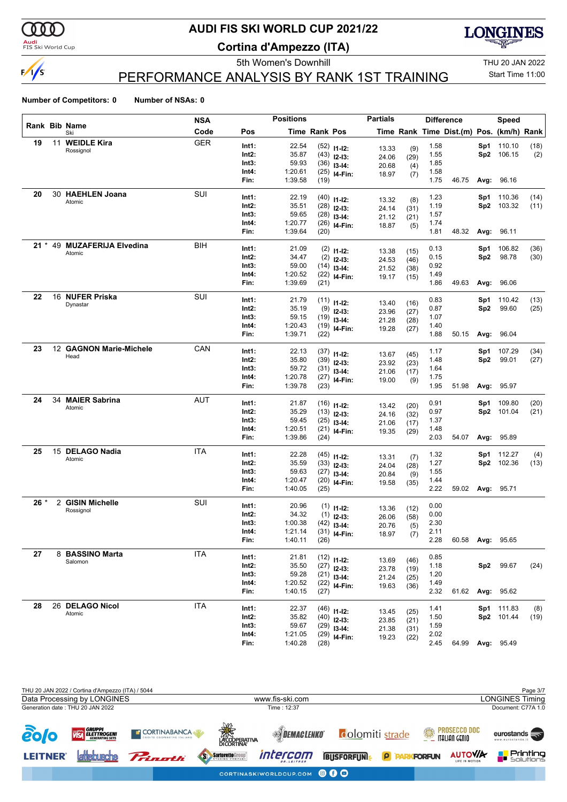

**Audi**<br>FIS Ski World Cup

### **AUDI FIS SKI WORLD CUP 2021/22**

**Cortina d'Ampezzo (ITA)**



PERFORMANCE ANALYSIS BY RANK 1ST TRAINING

5th Women's Downhill **THU 20 JAN 2022** Start Time 11:00

|      |                             | <b>NSA</b> |                | <b>Positions</b>   |               |                | <b>Partials</b> |      |              | <b>Difference</b>                        |                 | Speed                           |      |
|------|-----------------------------|------------|----------------|--------------------|---------------|----------------|-----------------|------|--------------|------------------------------------------|-----------------|---------------------------------|------|
|      | Rank Bib Name<br>Ski        | Code       | Pos            |                    | Time Rank Pos |                |                 |      |              | Time Rank Time Dist.(m) Pos. (km/h) Rank |                 |                                 |      |
| 19   | 11 WEIDLE Kira              | <b>GER</b> | Int1:          | 22.54              |               | $(52)$ 11-12:  |                 | (9)  | 1.58         |                                          |                 | Sp1 110.10                      | (18) |
|      | Rossignol                   |            | $Int2$ :       | 35.87              |               | $(43)$ 12-13:  | 13.33<br>24.06  |      | 1.55         |                                          |                 | Sp2 106.15                      | (2)  |
|      |                             |            | Int3:          | 59.93              |               | $(36)$ 13-14:  | 20.68           | (29) | 1.85         |                                          |                 |                                 |      |
|      |                             |            | Int4:          | 1:20.61            |               | $(25)$ 14-Fin: | 18.97           | (4)  | 1.58         |                                          |                 |                                 |      |
|      |                             |            | Fin:           | 1:39.58            | (19)          |                |                 | (7)  | 1.75         | 46.75                                    |                 | Avg: 96.16                      |      |
| 20   | 30 HAEHLEN Joana            | SUI        |                |                    |               |                |                 |      |              |                                          |                 |                                 |      |
|      | Atomic                      |            | Int1:<br>Int2: | 22.19              |               | $(40)$ 11-12:  | 13.32           | (8)  | 1.23         |                                          |                 | <b>Sp1</b> 110.36<br>Sp2 103.32 | (14) |
|      |                             |            |                | 35.51              |               | $(28)$ 12-13:  | 24.14           | (31) | 1.19         |                                          |                 |                                 | (11) |
|      |                             |            | Int3:          | 59.65              |               | $(28)$ 13-14:  | 21.12           | (21) | 1.57         |                                          |                 |                                 |      |
|      |                             |            | Int4:<br>Fin:  | 1:20.77<br>1:39.64 | (20)          | $(26)$ 14-Fin: | 18.87           | (5)  | 1.74<br>1.81 | 48.32                                    |                 | Avg: 96.11                      |      |
|      | 21 * 49 MUZAFERIJA Elvedina | BIH        |                |                    |               |                |                 |      |              |                                          |                 |                                 |      |
|      | Atomic                      |            | Int1:          | 21.09              |               | $(2)$ 11-12:   | 13.38           | (15) | 0.13         |                                          | Sp1             | 106.82                          | (36) |
|      |                             |            | $Int2$ :       | 34.47              |               | $(2)$ 12-13:   | 24.53           | (46) | 0.15         |                                          | Sp <sub>2</sub> | 98.78                           | (30) |
|      |                             |            | Int3:          | 59.00              |               | $(14)$ 13-14:  | 21.52           | (38) | 0.92         |                                          |                 |                                 |      |
|      |                             |            | Int4:          | 1:20.52            |               | $(22)$ 14-Fin: | 19.17           | (15) | 1.49         |                                          |                 |                                 |      |
|      |                             |            | Fin:           | 1:39.69            | (21)          |                |                 |      | 1.86         | 49.63                                    |                 | Avg: 96.06                      |      |
| 22   | 16 NUFER Priska             | SUI        | Int1:          | 21.79              |               | $(11)$ 11-12:  |                 |      | 0.83         |                                          | Sp1.            | 110.42                          | (13) |
|      | Dynastar                    |            | $Int2$ :       | 35.19              |               | $(9)$ 12-13:   | 13.40           | (16) | 0.87         |                                          | Sp2             | 99.60                           | (25) |
|      |                             |            | Int3:          | 59.15              |               | $(19)$ 13-14:  | 23.96           | (27) | 1.07         |                                          |                 |                                 |      |
|      |                             |            | Int4:          | 1:20.43            |               | $(19)$ 14-Fin: | 21.28           | (28) | 1.40         |                                          |                 |                                 |      |
|      |                             |            | Fin:           | 1:39.71            | (22)          |                | 19.28           | (27) | 1.88         | 50.15                                    |                 | Avg: 96.04                      |      |
| 23   | 12 GAGNON Marie-Michele     | CAN        |                |                    |               |                |                 |      |              |                                          |                 |                                 |      |
|      | Head                        |            | Int1:          | 22.13              |               | $(37)$ 11-12:  | 13.67           | (45) | 1.17         |                                          | Sp1             | 107.29                          | (34) |
|      |                             |            | $Int2$ :       | 35.80              |               | $(39)$ 12-13:  | 23.92           | (23) | 1.48         |                                          | Sp <sub>2</sub> | 99.01                           | (27) |
|      |                             |            | Int3:          | 59.72              |               | $(31)$ 13-14:  | 21.06           | (17) | 1.64         |                                          |                 |                                 |      |
|      |                             |            | Int4:          | 1:20.78            |               | $(27)$ 14-Fin: | 19.00           | (9)  | 1.75         |                                          |                 |                                 |      |
|      |                             |            | Fin:           | 1:39.78            | (23)          |                |                 |      | 1.95         | 51.98                                    |                 | <b>Avg: 95.97</b>               |      |
| 24   | 34 MAIER Sabrina            | AUT        | Int1:          | 21.87              |               | $(16)$ 11-12:  | 13.42           | (20) | 0.91         |                                          | Sp1             | 109.80                          | (20) |
|      | Atomic                      |            | $Int2$ :       | 35.29              |               | $(13)$ 12-13:  | 24.16           | (32) | 0.97         |                                          |                 | Sp2 101.04                      | (21) |
|      |                             |            | Int3:          | 59.45              |               | $(25)$ 13-14:  | 21.06           | (17) | 1.37         |                                          |                 |                                 |      |
|      |                             |            | Int4:          | 1:20.51            |               | $(21)$ 14-Fin: | 19.35           | (29) | 1.48         |                                          |                 |                                 |      |
|      |                             |            | Fin:           | 1:39.86            | (24)          |                |                 |      | 2.03         | 54.07                                    |                 | Avg: 95.89                      |      |
| 25   | 15 DELAGO Nadia             | ITA        | Int1:          | 22.28              |               |                |                 |      | 1.32         |                                          |                 | <b>Sp1</b> 112.27               | (4)  |
|      | Atomic                      |            | $Int2$ :       | 35.59              |               | $(45)$ 11-12:  | 13.31           | (7)  | 1.27         |                                          |                 | Sp2 102.36                      | (13) |
|      |                             |            | Int3:          | 59.63              |               | $(33)$ 12-13:  | 24.04           | (28) | 1.55         |                                          |                 |                                 |      |
|      |                             |            | Int4:          | 1:20.47            |               | $(27)$ 13-14:  | 20.84           | (9)  | 1.44         |                                          |                 |                                 |      |
|      |                             |            | Fin:           | 1:40.05            | (25)          | $(20)$ 14-Fin: | 19.58           | (35) | 2.22         | 59.02 Avg: 95.71                         |                 |                                 |      |
| 26 * | 2 GISIN Michelle            | SUI        |                |                    |               |                |                 |      |              |                                          |                 |                                 |      |
|      | Rossignol                   |            | Int1:          | 20.96              |               | $(1)$ 11-12:   | 13.36           | (12) | 0.00         |                                          |                 |                                 |      |
|      |                             |            | Int2:          | 34.32              |               | $(1)$ 12-13:   | 26.06           | (58) | 0.00         |                                          |                 |                                 |      |
|      |                             |            | Int3:          | 1:00.38            |               | $(42)$ 13-14:  | 20.76           | (5)  | 2.30         |                                          |                 |                                 |      |
|      |                             |            | Int4:          | 1:21.14            |               | $(31)$ 14-Fin: | 18.97           | (7)  | 2.11         |                                          |                 |                                 |      |
|      |                             |            | Fin:           | 1:40.11            | (26)          |                |                 |      | 2.28         | 60.58 Avg: 95.65                         |                 |                                 |      |
| 27   | 8 BASSINO Marta             | <b>ITA</b> | Int1:          | 21.81              |               | $(12)$ 11-12:  | 13.69           | (46) | 0.85         |                                          |                 |                                 |      |
|      | Salomon                     |            | $Int2$ :       | 35.50              |               | $(27)$ 12-13:  | 23.78           | (19) | 1.18         |                                          | Sp2             | 99.67                           | (24) |
|      |                             |            | Int3:          | 59.28              |               | $(21)$ 13-14:  | 21.24           | (25) | 1.20         |                                          |                 |                                 |      |
|      |                             |            | Int4:          | 1:20.52            |               | $(22)$ 14-Fin: | 19.63           | (36) | 1.49         |                                          |                 |                                 |      |
|      |                             |            | Fin:           | 1:40.15            | (27)          |                |                 |      | 2.32         | 61.62                                    |                 | <b>Avg: 95.62</b>               |      |
| 28   | 26 DELAGO Nicol             | <b>ITA</b> | Int1:          | 22.37              |               |                |                 |      | 1.41         |                                          |                 | <b>Sp1</b> 111.83               | (8)  |
|      | Atomic                      |            | Int2:          | 35.82              |               | $(46)$ 11-12:  | 13.45           | (25) | 1.50         |                                          |                 | Sp2 101.44                      | (19) |
|      |                             |            | Int3:          | 59.67              |               | $(40)$ 12-13:  | 23.85           | (21) | 1.59         |                                          |                 |                                 |      |
|      |                             |            | Int4:          | 1:21.05            |               | $(29)$ 13-14:  | 21.38           | (31) | 2.02         |                                          |                 |                                 |      |
|      |                             |            | Fin:           | 1:40.28            | (28)          | $(29)$ 14-Fin: | 19.23           | (22) | 2.45         | 64.99                                    |                 | <b>Avg: 95.49</b>               |      |
|      |                             |            |                |                    |               |                |                 |      |              |                                          |                 |                                 |      |

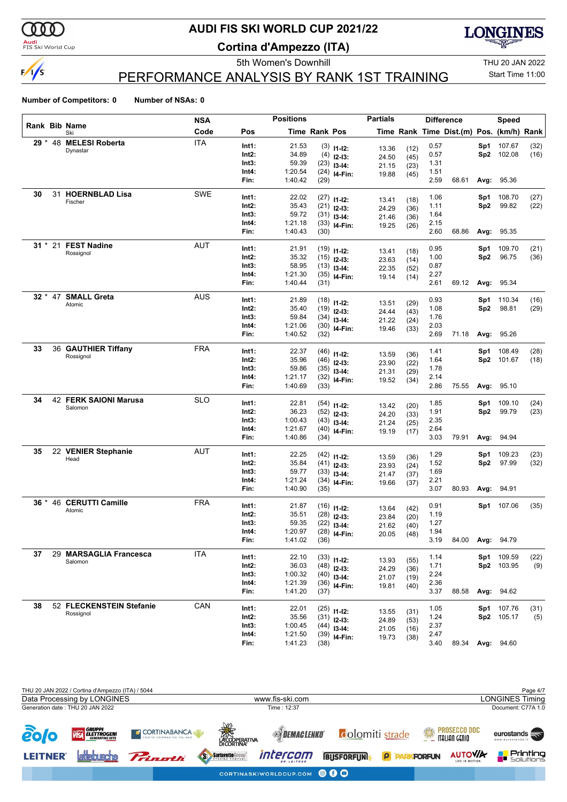

 $\frac{1}{s}$ 

Audi<br>FIS Ski World Cup

### **AUDI FIS SKI WORLD CUP 2021/22**

**Cortina d'Ampezzo (ITA)**



PERFORMANCE ANALYSIS BY RANK 1ST TRAINING

5th Women's Downhill THU 20 JAN 2022 Start Time 11:00

|       |     | Rank Bib Name                     | <b>NSA</b> |                                             | <b>Positions</b>                              |                      |                                                                              | <b>Partials</b>                  |                              |                                      | <b>Difference</b>                        |                        | Speed                                                       |              |
|-------|-----|-----------------------------------|------------|---------------------------------------------|-----------------------------------------------|----------------------|------------------------------------------------------------------------------|----------------------------------|------------------------------|--------------------------------------|------------------------------------------|------------------------|-------------------------------------------------------------|--------------|
|       |     | Ski                               | Code       | Pos                                         |                                               | <b>Time Rank Pos</b> |                                                                              |                                  |                              |                                      | Time Rank Time Dist.(m) Pos. (km/h) Rank |                        |                                                             |              |
| $29*$ | -48 | <b>MELESI Roberta</b><br>Dynastar | ITA        | Int1:<br>$Int2$ :<br>Int3:<br>Int4:<br>Fin: | 21.53<br>34.89<br>59.39<br>1:20.54<br>1:40.42 | (29)                 | $(3)$ 11-12:<br>$(4)$ 12-13:<br>$(23)$ 13-14:<br>$(24)$ <sub>14-Fin:</sub>   | 13.36<br>24.50<br>21.15<br>19.88 | (12)<br>(45)<br>(23)<br>(45) | 0.57<br>0.57<br>1.31<br>1.51<br>2.59 | 68.61                                    | Sp1<br>Sp <sub>2</sub> | 107.67<br>102.08<br>Avg: 95.36                              | (32)<br>(16) |
| 30    | 31  | <b>HOERNBLAD Lisa</b><br>Fischer  | <b>SWE</b> | Int1:<br>Int2:<br>Int3:<br>Int4:<br>Fin:    | 22.02<br>35.43<br>59.72<br>1:21.18<br>1.1013  | (30)                 | $(27)$ 11-12:<br>$(21)$ 12-13:<br>$(31)$ 13-14:<br>$(33)$ <sub>14-Fin:</sub> | 13.41<br>24.29<br>21.46<br>19.25 | (18)<br>(36)<br>(36)<br>(26) | 1.06<br>1.11<br>1.64<br>2.15<br>2.60 | 68.86                                    | Sp1<br>Sp2             | 108.70<br>99.82<br>$A$ <sub>V<math>a</math></sub> , $05.35$ | (27)<br>(22) |

|                    |                                       |            | Fin:          | 1:40.42            | (29)         |                |       |              | 2.59         | 68.61 | Avg:            | 95.36  |      |
|--------------------|---------------------------------------|------------|---------------|--------------------|--------------|----------------|-------|--------------|--------------|-------|-----------------|--------|------|
| 31<br>30           | <b>HOERNBLAD Lisa</b>                 | <b>SWE</b> | Int1:         | 22.02              |              |                |       |              | 1.06         |       | Sp1             | 108.70 | (27) |
|                    | Fischer                               |            | Int2:         | 35.43              |              | $(27)$ 11-12:  | 13.41 | (18)         | 1.11         |       |                 | 99.82  |      |
|                    |                                       |            | Int3:         | 59.72              |              | $(21)$ 12-13:  | 24.29 | (36)         | 1.64         |       | Sp2             |        | (22) |
|                    |                                       |            | Int4:         | 1:21.18            |              | $(31)$ 13-14:  | 21.46 | (36)         | 2.15         |       |                 |        |      |
|                    |                                       |            | Fin:          | 1:40.43            |              | $(33)$ 14-Fin: | 19.25 | (26)         | 2.60         | 68.86 |                 | 95.35  |      |
|                    |                                       |            |               |                    | (30)         |                |       |              |              |       | Avg:            |        |      |
| 21<br>$\ast$<br>31 | <b>FEST Nadine</b>                    | <b>AUT</b> | Int1:         | 21.91              |              | $(19)$ 11-12:  | 13.41 | (18)         | 0.95         |       | Sp1             | 109.70 | (21) |
|                    | Rossignol                             |            | Int2:         | 35.32              | (15)         | $12 - 13:$     | 23.63 |              | 1.00         |       | Sp <sub>2</sub> | 96.75  | (36) |
|                    |                                       |            | Int3:         | 58.95              | (13)         | $13 - 14$ :    | 22.35 | (14)<br>(52) | 0.87         |       |                 |        |      |
|                    |                                       |            | Int4:         | 1:21.30            | (35)         | 14-Fin:        | 19.14 | (14)         | 2.27         |       |                 |        |      |
|                    |                                       |            | Fin:          | 1:40.44            | (31)         |                |       |              | 2.61         | 69.12 | Avg:            | 95.34  |      |
| $32$ $*$<br>47     | <b>SMALL Greta</b>                    | <b>AUS</b> |               |                    |              |                |       |              |              |       |                 |        |      |
|                    | Atomic                                |            | Int1:         | 21.89              | (18)         | $11 - 12$ :    | 13.51 | (29)         | 0.93         |       | Sp1             | 110.34 | (16) |
|                    |                                       |            | Int2:         | 35.40              | (19)         | $12 - 13$ :    | 24.44 | (43)         | 1.08         |       | Sp2             | 98.81  | (29) |
|                    |                                       |            | Int3:         | 59.84              | (34)         | $13-14:$       | 21.22 | (24)         | 1.76         |       |                 |        |      |
|                    |                                       |            | Int4:         | 1:21.06            | (30)         | 14-Fin:        | 19.46 | (33)         | 2.03         |       |                 |        |      |
|                    |                                       |            | Fin:          | 1:40.52            | (32)         |                |       |              | 2.69         | 71.18 | Avg:            | 95.26  |      |
| 33                 | 36 GAUTHIER Tiffany                   | <b>FRA</b> | Int1:         | 22.37              |              | $(46)$ 11-12:  |       |              | 1.41         |       | Sp1             | 108.49 | (28) |
|                    | Rossignol                             |            | Int2:         | 35.96              | (46)         | $12-13:$       | 13.59 | (36)         | 1.64         |       | Sp2             | 101.67 | (18) |
|                    |                                       |            | Int3:         | 59.86              | (35)         | $13 - 14$ :    | 23.90 | (22)         | 1.78         |       |                 |        |      |
|                    |                                       |            | Int4:         | 1:21.17            | (32)         |                | 21.31 | (29)         | 2.14         |       |                 |        |      |
|                    |                                       |            | Fin:          | 1:40.69            | (33)         | I4-Fin:        | 19.52 | (34)         | 2.86         | 75.55 | Avg:            | 95.10  |      |
| 34                 | <b>42 FERK SAIONI Marusa</b>          | <b>SLO</b> |               |                    |              |                |       |              |              |       |                 |        |      |
|                    | Salomon                               |            | Int1:         | 22.81              |              | $(54)$ 11-12:  | 13.42 | (20)         | 1.85         |       | Sp1             | 109.10 | (24) |
|                    |                                       |            | Int2:         | 36.23              | (52)         | $12 - 13:$     | 24.20 | (33)         | 1.91         |       | Sp <sub>2</sub> | 99.79  | (23) |
|                    |                                       |            | Int3:         | 1:00.43            | (43)         | $13 - 14$ :    | 21.24 | (25)         | 2.35         |       |                 |        |      |
|                    |                                       |            | Int4:         | 1:21.67            | (40)         | I4-Fin:        | 19.19 | (17)         | 2.64         |       |                 |        |      |
|                    |                                       |            | Fin:          | 1:40.86            | (34)         |                |       |              | 3.03         | 79.91 | Avg:            | 94.94  |      |
| 35<br>22           | <b>VENIER Stephanie</b>               | <b>AUT</b> | Int1:         | 22.25              |              | $(42)$ 11-12:  |       |              | 1.29         |       | Sp1             | 109.23 | (23) |
|                    | Head                                  |            | Int2:         | 35.84              |              | $(41)$ 12-13:  | 13.59 | (36)         | 1.52         |       | Sp2             | 97.99  | (32) |
|                    |                                       |            | Int3:         | 59.77              | (33)         |                | 23.93 | (24)         | 1.69         |       |                 |        |      |
|                    |                                       |            | Int4:         | 1:21.24            |              | $13 - 14$ :    | 21.47 | (37)         | 2.21         |       |                 |        |      |
|                    |                                       |            | Fin:          | 1:40.90            | (35)         | $(34)$ 14-Fin: | 19.66 | (37)         | 3.07         | 80.93 | Avg:            | 94.91  |      |
|                    |                                       |            |               |                    |              |                |       |              |              |       |                 |        |      |
| $36 * 46$          | <b>CERUTTI Camille</b><br>Atomic      | <b>FRA</b> | Int1:         | 21.87              |              | $(16)$ 11-12:  | 13.64 | (42)         | 0.91         |       | Sp1             | 107.06 | (35) |
|                    |                                       |            | Int2:         | 35.51              | (28)         | $12 - 13:$     | 23.84 | (20)         | 1.19         |       |                 |        |      |
|                    |                                       |            | Int3:         | 59.35              | (22)         | $13 - 14$ :    | 21.62 | (40)         | 1.27         |       |                 |        |      |
|                    |                                       |            | Int4:         | 1:20.97            | (28)         | I4-Fin:        | 20.05 | (48)         | 1.94         |       |                 |        |      |
|                    |                                       |            | Fin:          | 1:41.02            | (36)         |                |       |              | 3.19         | 84.00 | Avg:            | 94.79  |      |
| 37<br>29           | <b>MARSAGLIA Francesca</b>            | <b>ITA</b> | Int1:         | 22.10              |              |                |       |              | 1.14         |       | Sp1             | 109.59 |      |
|                    | Salomon                               |            | Int2:         | 36.03              | (33)         | $11 - 12$ :    | 13.93 | (55)         | 1.71         |       |                 | 103.95 | (22) |
|                    |                                       |            |               |                    | (48)         | $12 - 13:$     | 24.29 | (36)         |              |       | Sp2             |        | (9)  |
|                    |                                       |            | Int3:         | 1:00.32            | (40)         | $13-14:$       | 21.07 | (19)         | 2.24<br>2.36 |       |                 |        |      |
|                    |                                       |            | Int4:<br>Fin: | 1:21.39<br>1:41.20 | (36)<br>(37) | I4-Fin:        | 19.81 | (40)         | 3.37         | 88.58 | Avg:            | 94.62  |      |
|                    |                                       |            |               |                    |              |                |       |              |              |       |                 |        |      |
| 38                 | 52 FLECKENSTEIN Stefanie<br>Rossignol | CAN        | Int1:         | 22.01              | (25)         | $11 - 12$ :    | 13.55 | (31)         | 1.05         |       | Sp1             | 107.76 | (31) |
|                    |                                       |            | Int2:         | 35.56              | (31)         | $12 - 13:$     | 24.89 | (53)         | 1.24         |       | Sp2             | 105.17 | (5)  |
|                    |                                       |            | Int3:         | 1:00.45            | (44)         | $13 - 14$ :    | 21.05 | (16)         | 2.37         |       |                 |        |      |
|                    |                                       |            | Int4:         | 1:21.50            | (39)         | I4-Fin:        | 19.73 | (38)         | 2.47         |       |                 |        |      |
|                    |                                       |            | Fin:          | 1:41.23            | (38)         |                |       |              | 3.40         | 89.34 | Avg:            | 94.60  |      |
|                    |                                       |            |               |                    |              |                |       |              |              |       |                 |        |      |

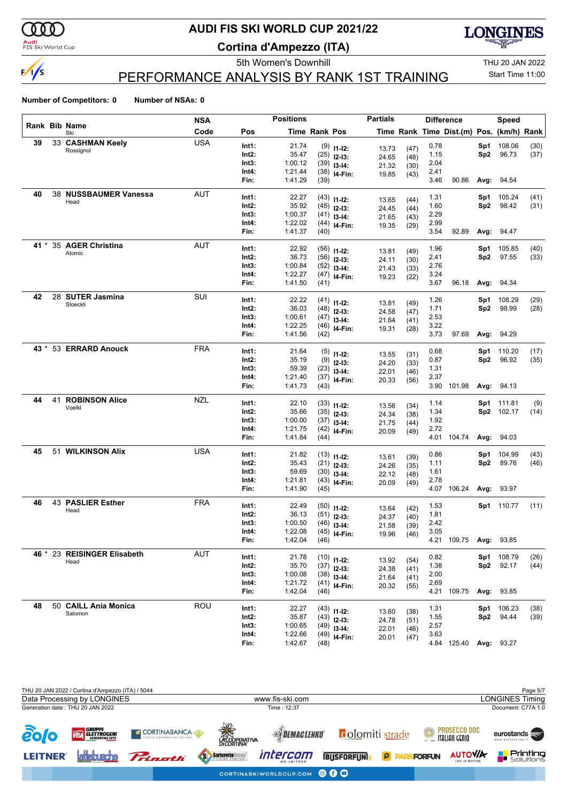

**Audi**<br>FIS Ski World Cup

### **AUDI FIS SKI WORLD CUP 2021/22**

**Cortina d'Ampezzo (ITA)**



5th Women's Downhill **THU 20 JAN 2022** Start Time 11:00

# PERFORMANCE ANALYSIS BY RANK 1ST TRAINING

#### **Number of Competitors: 0 Number of NSAs: 0**

**48** 50 **CAILL Ania Monica** ROU

Salomon

|    |    | Rank Bib Name               | <b>NSA</b> |          | <b>Positions</b> |               |                                | <b>Partials</b> |              |      | <b>Difference</b>                        |                 | Speed      |      |
|----|----|-----------------------------|------------|----------|------------------|---------------|--------------------------------|-----------------|--------------|------|------------------------------------------|-----------------|------------|------|
|    |    | Ski                         | Code       | Pos      |                  | Time Rank Pos |                                |                 |              |      | Time Rank Time Dist.(m) Pos. (km/h) Rank |                 |            |      |
| 39 |    | 33 CASHMAN Keely            | <b>USA</b> | Int1:    | 21.74            |               | $(9)$ 11-12:                   |                 |              | 0.78 |                                          | Sp1             | 108.06     | (30) |
|    |    | Rossignol                   |            | $Int2$ : | 35.47            |               | $(25)$ 12-13:                  | 13.73           | (47)         | 1.15 |                                          | Sp2             | 96.73      | (37) |
|    |    |                             |            | Int3:    | 1:00.12          |               | $(39)$ 13-14:                  | 24.65           | (48)         | 2.04 |                                          |                 |            |      |
|    |    |                             |            | Int4:    | 1:21.44          |               | $(38)$ 14-Fin:                 | 21.32<br>19.85  | (30)<br>(43) | 2.41 |                                          |                 |            |      |
|    |    |                             |            | Fin:     | 1:41.29          | (39)          |                                |                 |              | 3.46 | 90.86                                    | Avg:            | 94.54      |      |
| 40 |    | 38 NUSSBAUMER Vanessa       | AUT        | Int1:    | 22.27            |               |                                |                 |              | 1.31 |                                          | Sp1             | 105.24     | (41) |
|    |    | Head                        |            | Int2:    | 35.92            |               | $(43)$ 11-12:<br>$(45)$ 12-13: | 13.65           | (44)         | 1.60 |                                          | Sp2             | 98.42      | (31) |
|    |    |                             |            | Int3:    | 1:00.37          |               | $(41)$ 13-14:                  | 24.45           | (44)         | 2.29 |                                          |                 |            |      |
|    |    |                             |            | Int4:    | 1:22.02          |               | $(44)$ 14-Fin:                 | 21.65<br>19.35  | (43)         | 2.99 |                                          |                 |            |      |
|    |    |                             |            | Fin:     | 1:41.37          | (40)          |                                |                 | (29)         | 3.54 | 92.89                                    | Avg:            | 94.47      |      |
|    |    | 41 * 35 AGER Christina      | <b>AUT</b> | Int1:    | 22.92            |               | $(56)$ 11-12:                  |                 |              | 1.96 |                                          | Sp1             | 105.85     | (40) |
|    |    | Atomic                      |            | Int2:    | 36.73            |               | $(56)$ 12-13:                  | 13.81           | (49)         | 2.41 |                                          | Sp2             | 97.55      | (33) |
|    |    |                             |            | Int3:    | 1:00.84          |               | $(52)$ 13-14:                  | 24.11           | (30)         | 2.76 |                                          |                 |            |      |
|    |    |                             |            | Int4:    | 1:22.27          |               | $(47)$ 14-Fin:                 | 21.43           | (33)         | 3.24 |                                          |                 |            |      |
|    |    |                             |            | Fin:     | 1:41.50          | (41)          |                                | 19.23           | (22)         | 3.67 | 96.18                                    | Avg:            | 94.34      |      |
| 42 |    | 28 SUTER Jasmina            | <b>SUI</b> | Int1:    | 22.22            |               | $(41)$ 11-12:                  |                 |              | 1.26 |                                          | Sp1             | 108.29     | (29) |
|    |    | Stoeckli                    |            | $Int2$ : | 36.03            |               | $(48)$ 12-13:                  | 13.81           | (49)         | 1.71 |                                          | Sp <sub>2</sub> | 98.99      | (28) |
|    |    |                             |            | Int3:    | 1:00.61          |               | $(47)$ 13-14:                  | 24.58           | (47)         | 2.53 |                                          |                 |            |      |
|    |    |                             |            | Int4:    | 1:22.25          |               | $(46)$ 14-Fin:                 | 21.64           | (41)         | 3.22 |                                          |                 |            |      |
|    |    |                             |            | Fin:     | 1:41.56          | (42)          |                                | 19.31           | (28)         | 3.73 | 97.69                                    | Avg:            | 94.29      |      |
|    |    | 43 * 53 ERRARD Anouck       | <b>FRA</b> | Int1:    | 21.64            |               | $(5)$ 11-12:                   |                 |              | 0.68 |                                          | Sp1             | 110.20     | (17) |
|    |    |                             |            | Int2:    | 35.19            |               | $(9)$ 12-13:                   | 13.55<br>24.20  | (31)         | 0.87 |                                          | Sp2             | 96.92      | (35) |
|    |    |                             |            | Int3:    | 59.39            |               | $(23)$ 13-14:                  | 22.01           | (33)<br>(46) | 1.31 |                                          |                 |            |      |
|    |    |                             |            | Int4:    | 1:21.40          |               | $(37)$ 14-Fin:                 | 20.33           | (56)         | 2.37 |                                          |                 |            |      |
|    |    |                             |            | Fin:     | 1:41.73          | (43)          |                                |                 |              |      | 3.90 101.98                              |                 | Avg: 94.13 |      |
| 44 | 41 | <b>ROBINSON Alice</b>       | <b>NZL</b> | Int1:    | 22.10            |               | $(33)$ 11-12:                  |                 |              | 1.14 |                                          | Sp1             | 111.81     | (9)  |
|    |    | Voelkl                      |            | Int2:    | 35.66            |               | $(35)$ 12-13:                  | 13.56<br>24.34  | (34)<br>(38) | 1.34 |                                          |                 | Sp2 102.17 | (14) |
|    |    |                             |            | Int3:    | 1:00.00          |               | $(37)$ 13-14:                  | 21.75           | (44)         | 1.92 |                                          |                 |            |      |
|    |    |                             |            | Int4:    | 1:21.75          |               | $(42)$ 14-Fin:                 | 20.09           | (49)         | 2.72 |                                          |                 |            |      |
|    |    |                             |            | Fin:     | 1:41.84          | (44)          |                                |                 |              |      | 4.01 104.74                              | Avg:            | 94.03      |      |
| 45 |    | 51 WILKINSON Alix           | <b>USA</b> | Int1:    | 21.82            |               | $(13)$ 11-12:                  |                 |              | 0.86 |                                          | Sp1             | 104.99     | (43) |
|    |    |                             |            | Int2:    | 35.43            |               | $(21)$ 12-13:                  | 13.61<br>24.26  | (39)         | 1.11 |                                          | Sp2             | 89.76      | (46) |
|    |    |                             |            | Int3:    | 59.69            |               | $(30)$ 13-14:                  | 22.12           | (35)<br>(48) | 1.61 |                                          |                 |            |      |
|    |    |                             |            | Int4:    | 1:21.81          |               | $(43)$ 14-Fin:                 | 20.09           | (49)         | 2.78 |                                          |                 |            |      |
|    |    |                             |            | Fin:     | 1:41.90          | (45)          |                                |                 |              |      | 4.07 106.24                              | Avg:            | 93.97      |      |
| 46 |    | 43 PASLIER Esther           | <b>FRA</b> | Int1:    | 22.49            |               | $(50)$ 11-12:                  | 13.64           | (42)         | 1.53 |                                          |                 | Sp1 110.77 | (11) |
|    |    | Head                        |            | $Int2$ : | 36.13            |               | $(51)$ 12-13:                  | 24.37           | (40)         | 1.81 |                                          |                 |            |      |
|    |    |                             |            | Int3:    | 1:00.50          |               | $(46)$ 13-14:                  | 21.58           | (39)         | 2.42 |                                          |                 |            |      |
|    |    |                             |            | Int4:    | 1:22.08          |               | $(45)$ 14-Fin:                 | 19.96           | (46)         | 3.05 |                                          |                 |            |      |
|    |    |                             |            | Fin:     | 1:42.04          | (46)          |                                |                 |              |      | 4.21 109.75                              | Avg:            | 93.85      |      |
|    |    | 46 * 23 REISINGER Elisabeth | <b>AUT</b> | Int1:    | 21.78            |               | $(10)$ 11-12:                  | 13.92           | (54)         | 0.82 |                                          | Sp1             | 108.79     | (26) |
|    |    | Head                        |            | Int2:    | 35.70            |               | $(37)$ 12-13:                  | 24.38           | (41)         | 1.38 |                                          | Sp2             | 92.17      | (44) |
|    |    |                             |            | Int3:    | 1:00.08          |               | $(38)$ 13-14:                  | 21.64           | (41)         | 2.00 |                                          |                 |            |      |
|    |    |                             |            | Int4:    | 1:21.72          |               | $(41)$ 14-Fin:                 | 20.32           | (55)         | 2.69 |                                          |                 |            |      |
|    |    |                             |            | Fin:     | 1:42.04          | (46)          |                                |                 |              |      | 4.21 109.75 <b>Avg:</b>                  |                 | 93.85      |      |



**Int1:** 22.27 (43) **I1-I2:** 13.60 (38) <sup>1.31</sup> **Sp1** 106.23 (38) <br> **Int2:** 35.87 (43) **I2-I3:** 24.78 (51) <sup>1.55</sup> **Sp2** 94.44 (39)

**Int2:** 35.87 (43) **I2-I3:** 24.78 (51) 1.55<br>**Int3:** 1:00.65 (49) **I3.14:** 22.01 (46) 2.57 **Int3:** 1:00.65 (49) **I3-14:** 22.01 (46) 2.57<br>**Int4:** 1:22.66 (49) **I<sub>1</sub>-12:** 22.01 (47) 3.63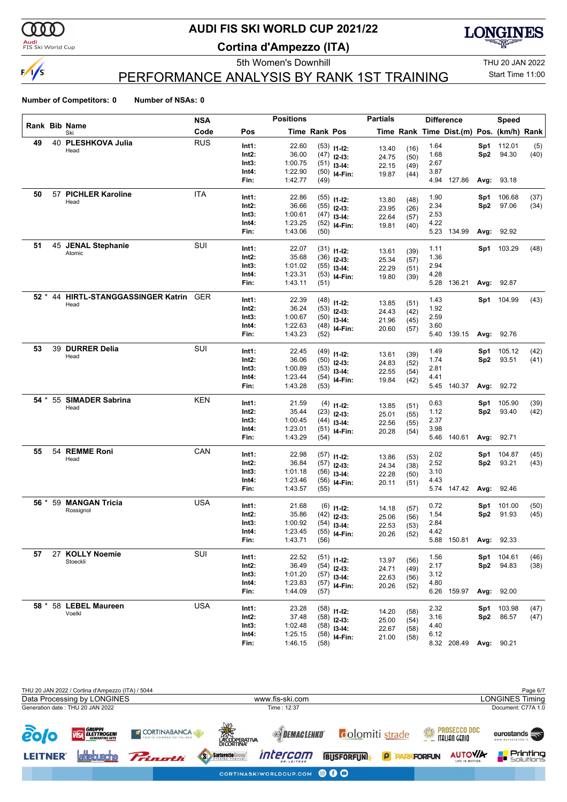

<mark>Audi</mark><br>FIS Ski World Cup

### **AUDI FIS SKI WORLD CUP 2021/22**

**Cortina d'Ampezzo (ITA)**



5th Women's Downhill **THU 20 JAN 2022** Start Time 11:00

# PERFORMANCE ANALYSIS BY RANK 1ST TRAINING

|    |           |                                    | <b>NSA</b> |       | <b>Positions</b> |                      |                | <b>Partials</b> |              |      | <b>Difference</b>                        |                 | Speed      |      |
|----|-----------|------------------------------------|------------|-------|------------------|----------------------|----------------|-----------------|--------------|------|------------------------------------------|-----------------|------------|------|
|    |           | Rank Bib Name<br>Ski               | Code       | Pos   |                  | <b>Time Rank Pos</b> |                |                 |              |      | Time Rank Time Dist.(m) Pos. (km/h) Rank |                 |            |      |
| 49 | 40        | <b>PLESHKOVA Julia</b>             | <b>RUS</b> | Int1: | 22.60            |                      | $(53)$ 11-12:  | 13.40           | (16)         | 1.64 |                                          | Sp1             | 112.01     | (5)  |
|    |           | Head                               |            | Int2: | 36.00            |                      | $(47)$ 12-13:  | 24.75           | (50)         | 1.68 |                                          | Sp <sub>2</sub> | 94.30      | (40) |
|    |           |                                    |            | Int3: | 1:00.75          |                      | $(51)$ 13-14:  | 22.15           | (49)         | 2.67 |                                          |                 |            |      |
|    |           |                                    |            | Int4: | 1:22.90          |                      | $(50)$ 14-Fin: | 19.87           | (44)         | 3.87 |                                          |                 |            |      |
|    |           |                                    |            | Fin:  | 1:42.77          | (49)                 |                |                 |              |      | 4.94 127.86                              | Avg:            | 93.18      |      |
| 50 | 57        | <b>PICHLER Karoline</b>            | ITA        | Int1: | 22.86            |                      | $(55)$ 11-12:  | 13.80           | (48)         | 1.90 |                                          | Sp1             | 106.68     | (37) |
|    |           | Head                               |            | Int2: | 36.66            |                      | $(55)$ 12-13:  | 23.95           | (26)         | 2.34 |                                          | Sp <sub>2</sub> | 97.06      | (34) |
|    |           |                                    |            | Int3: | 1:00.61          |                      | $(47)$ 13-14:  | 22.64           | (57)         | 2.53 |                                          |                 |            |      |
|    |           |                                    |            | Int4: | 1:23.25          |                      | $(52)$ 14-Fin: | 19.81           | (40)         | 4.22 |                                          |                 |            |      |
|    |           |                                    |            | Fin:  | 1:43.06          | (50)                 |                |                 |              |      | 5.23 134.99                              |                 | Avg: 92.92 |      |
| 51 |           | 45 JENAL Stephanie                 | SUI        | Int1: | 22.07            |                      | $(31)$ 11-12:  | 13.61           | (39)         | 1.11 |                                          |                 | Sp1 103.29 | (48) |
|    |           | Atomic                             |            | Int2: | 35.68            |                      | $(36)$ 12-13:  | 25.34           | (57)         | 1.36 |                                          |                 |            |      |
|    |           |                                    |            | Int3: | 1:01.02          |                      | $(55)$ 13-14:  | 22.29           | (51)         | 2.94 |                                          |                 |            |      |
|    |           |                                    |            | Int4: | 1:23.31          |                      | $(53)$ 14-Fin: | 19.80           | (39)         | 4.28 |                                          |                 |            |      |
|    |           |                                    |            | Fin:  | 1:43.11          | (51)                 |                |                 |              | 5.28 | 136.21                                   |                 | Avg: 92.87 |      |
|    | $52 * 44$ | <b>HIRTL-STANGGASSINGER Katrin</b> | GER        | Int1: | 22.39            |                      | $(48)$ 11-12:  | 13.85           | (51)         | 1.43 |                                          |                 | Sp1 104.99 | (43) |
|    |           | Head                               |            | Int2: | 36.24            |                      | $(53)$ 12-13:  | 24.43           | (42)         | 1.92 |                                          |                 |            |      |
|    |           |                                    |            | Int3: | 1:00.67          |                      | $(50)$ 13-14:  | 21.96           | (45)         | 2.59 |                                          |                 |            |      |
|    |           |                                    |            | Int4: | 1:22.63          |                      | $(48)$ 14-Fin: | 20.60           | (57)         | 3.60 |                                          |                 |            |      |
|    |           |                                    |            | Fin:  | 1:43.23          | (52)                 |                |                 |              |      | 5.40 139.15                              |                 | Avg: 92.76 |      |
| 53 |           | 39 DURRER Delia                    | SUI        | Int1: | 22.45            |                      | $(49)$ 11-12:  | 13.61           | (39)         | 1.49 |                                          | Sp1             | 105.12     | (42) |
|    |           | Head                               |            | Int2: | 36.06            |                      | $(50)$ 12-13:  | 24.83           | (52)         | 1.74 |                                          | Sp <sub>2</sub> | 93.51      | (41) |
|    |           |                                    |            | Int3: | 1:00.89          |                      | $(53)$ 13-14:  | 22.55           | (54)         | 2.81 |                                          |                 |            |      |
|    |           |                                    |            | Int4: | 1:23.44          |                      | $(54)$ 14-Fin: | 19.84           | (42)         | 4.41 |                                          |                 |            |      |
|    |           |                                    |            | Fin:  | 1:43.28          | (53)                 |                |                 |              |      | 5.45 140.37                              | Avg:            | 92.72      |      |
|    |           | 54 * 55 SIMADER Sabrina            | KEN        | Int1: | 21.59            |                      | $(4)$ 11-12:   | 13.85           |              | 0.63 |                                          | Sp1             | 105.90     | (39) |
|    |           | Head                               |            | Int2: | 35.44            |                      | $(23)$ 12-13:  | 25.01           | (51)<br>(55) | 1.12 |                                          | Sp <sub>2</sub> | 93.40      | (42) |
|    |           |                                    |            | Int3: | 1:00.45          |                      | $(44)$ 13-14:  | 22.56           | (55)         | 2.37 |                                          |                 |            |      |
|    |           |                                    |            | Int4: | 1:23.01          |                      | $(51)$ 14-Fin: | 20.28           | (54)         | 3.98 |                                          |                 |            |      |
|    |           |                                    |            | Fin:  | 1:43.29          | (54)                 |                |                 |              |      | 5.46 140.61                              |                 | Avg: 92.71 |      |
| 55 |           | 54 REMME Roni                      | CAN        | Int1: | 22.98            |                      | $(57)$ 11-12:  | 13.86           | (53)         | 2.02 |                                          | Sp1             | 104.87     | (45) |
|    |           | Head                               |            | Int2: | 36.84            |                      | $(57)$ 12-13:  | 24.34           | (38)         | 2.52 |                                          | Sp2             | 93.21      | (43) |
|    |           |                                    |            | Int3: | 1:01.18          |                      | $(56)$ 13-14:  | 22.28           | (50)         | 3.10 |                                          |                 |            |      |
|    |           |                                    |            | Int4: | 1:23.46          |                      | $(56)$ 14-Fin: | 20.11           | (51)         | 4.43 |                                          |                 |            |      |
|    |           |                                    |            | Fin:  | 1:43.57          | (55)                 |                |                 |              |      | 5.74 147.42                              | Avg:            | 92.46      |      |
|    |           | 56 * 59 MANGAN Tricia              | USA        | Int1: | 21.68            |                      | $(6)$ 11-12:   | 14.18           |              | 0.72 |                                          | Sp1             | 101.00     | (50) |
|    |           | Rossianol                          |            | Int2: | 35.86            |                      | $(42)$ 12-13:  | 25.06           | (57)<br>(56) | 1.54 |                                          | Sp <sub>2</sub> | 91.93      | (45) |
|    |           |                                    |            | Int3: | 1:00.92          |                      | $(54)$ 13-14:  | 22.53           | (53)         | 2.84 |                                          |                 |            |      |
|    |           |                                    |            | Int4: | 1:23.45          |                      | $(55)$ 14-Fin: | 20.26           | (52)         | 4.42 |                                          |                 |            |      |
|    |           |                                    |            | Fin:  | 1:43.71          | (56)                 |                |                 |              |      | 5.88 150.81                              |                 | Avg: 92.33 |      |
| 57 | 27        | <b>KOLLY Noemie</b>                | SUI        | Int1: | 22.52            |                      | $(51)$ 11-12:  |                 |              | 1.56 |                                          | Sp1             | 104.61     | (46) |
|    |           | Stoeckli                           |            | Int2: | 36.49            |                      | $(54)$ 12-13:  | 13.97<br>24.71  | (56)<br>(49) | 2.17 |                                          |                 | Sp2 94.83  | (38) |
|    |           |                                    |            | Int3: | 1:01.20          |                      | $(57)$ 13-14:  | 22.63           | (56)         | 3.12 |                                          |                 |            |      |
|    |           |                                    |            | Int4: | 1:23.83          |                      | $(57)$ 14-Fin: | 20.26           | (52)         | 4.80 |                                          |                 |            |      |
|    |           |                                    |            | Fin:  | 1:44.09          | (57)                 |                |                 |              |      | 6.26 159.97                              | Avg:            | 92.00      |      |
|    |           | 58 * 58 LEBEL Maureen              | <b>USA</b> | Int1: | 23.28            |                      | $(58)$ 11-12:  |                 |              | 2.32 |                                          | Sp1             | 103.98     | (47) |
|    |           | Voelkl                             |            | Int2: | 37.48            |                      | $(58)$ 12-13:  | 14.20<br>25.00  | (58)<br>(54) | 3.16 |                                          | Sp2             | 86.57      | (47) |
|    |           |                                    |            | Int3: | 1:02.48          |                      | $(58)$ 13-14:  | 22.67           | (58)         | 4.40 |                                          |                 |            |      |
|    |           |                                    |            | Int4: | 1:25.15          |                      | $(58)$ 14-Fin: | 21.00           | (58)         | 6.12 |                                          |                 |            |      |
|    |           |                                    |            | Fin:  | 1:46.15          | (58)                 |                |                 |              |      | 8.32 208.49                              |                 | Avg: 90.21 |      |